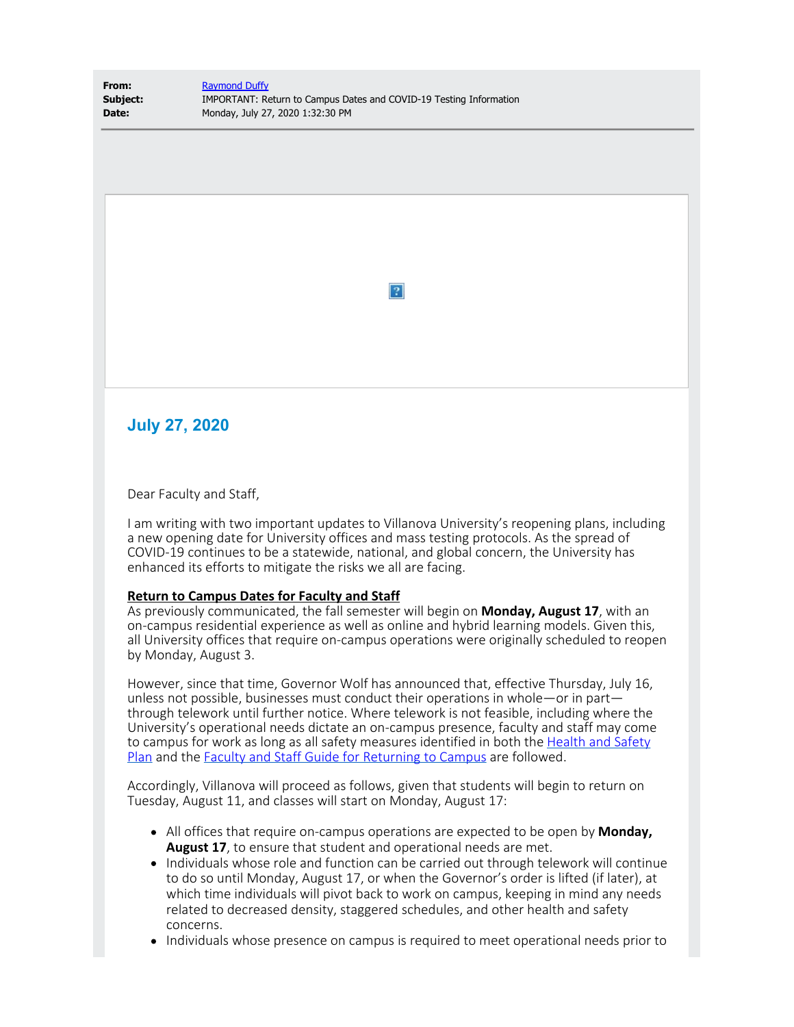**From:** [Raymond Duffy](mailto:raymond.duffy@villanova.edu) **Subject:** IMPORTANT: Return to Campus Dates and COVID-19 Testing Information **Date:** Monday, July 27, 2020 1:32:30 PM

# **July 27, 2020**

Dear Faculty and Staff,

I am writing with two important updates to Villanova University's reopening plans, including a new opening date for University offices and mass testing protocols. As the spread of COVID-19 continues to be a statewide, national, and global concern, the University has enhanced its efforts to mitigate the risks we all are facing.

 $\vert$ ?

### **Return to Campus Dates for Faculty and Staff**

As previously communicated, the fall semester will begin on **Monday, August 17**, with an on-campus residential experience as well as online and hybrid learning models. Given this, all University offices that require on-campus operations were originally scheduled to reopen by Monday, August 3.

However, since that time, Governor Wolf has announced that, effective Thursday, July 16, unless not possible, businesses must conduct their operations in whole—or in part through telework until further notice. Where telework is not feasible, including where the University's operational needs dictate an on-campus presence, faculty and staff may come to campus for work as long as all safety measures identified in both the [Health and Safety](https://www1.villanova.edu/content/dam/villanova/community-first/Villanova%20Health%20and%20Safety%20Plan%206-29-20.pdf) [Plan](https://www1.villanova.edu/content/dam/villanova/community-first/Villanova%20Health%20and%20Safety%20Plan%206-29-20.pdf) and the [Faculty and Staff Guide for Returning to Campus](https://www1.villanova.edu/content/dam/villanova/hr/documents/Returning%20to%20Campus%20Guide.pdf) are followed.

Accordingly, Villanova will proceed as follows, given that students will begin to return on Tuesday, August 11, and classes will start on Monday, August 17:

- All offices that require on-campus operations are expected to be open by **Monday, August 17**, to ensure that student and operational needs are met.
- Individuals whose role and function can be carried out through telework will continue to do so until Monday, August 17, or when the Governor's order is lifted (if later), at which time individuals will pivot back to work on campus, keeping in mind any needs related to decreased density, staggered schedules, and other health and safety concerns.
- Individuals whose presence on campus is required to meet operational needs prior to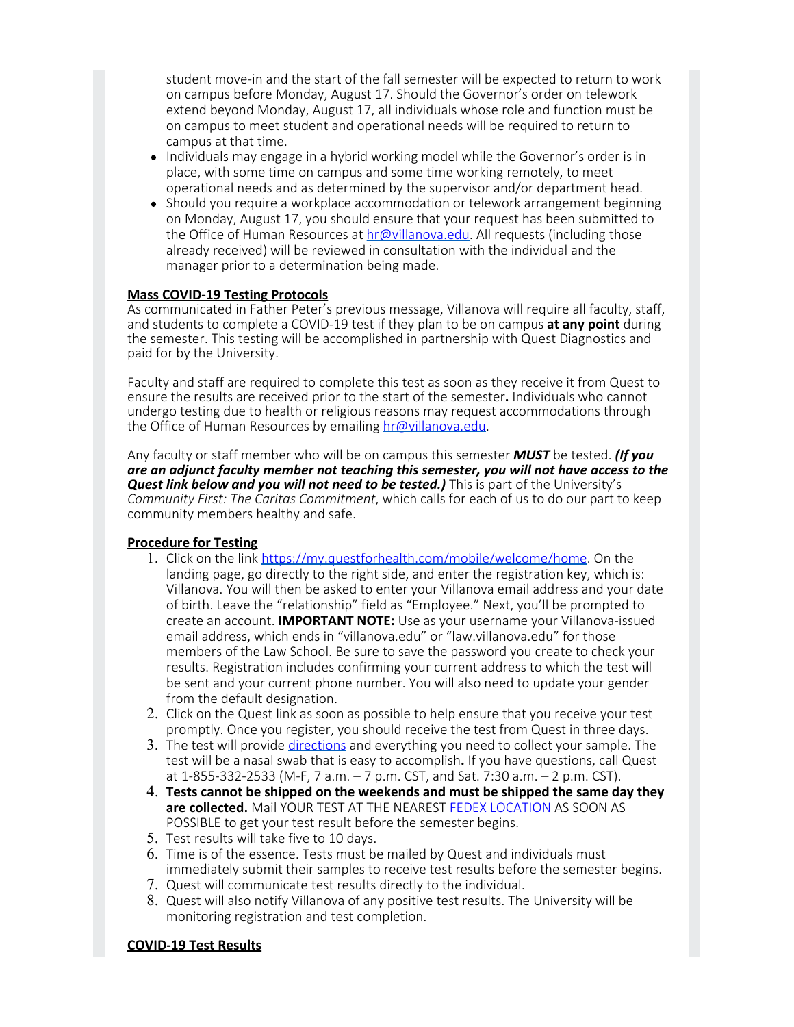student move-in and the start of the fall semester will be expected to return to work on campus before Monday, August 17. Should the Governor's order on telework extend beyond Monday, August 17, all individuals whose role and function must be on campus to meet student and operational needs will be required to return to campus at that time.

- Individuals may engage in a hybrid working model while the Governor's order is in place, with some time on campus and some time working remotely, to meet operational needs and as determined by the supervisor and/or department head.
- Should you require a workplace accommodation or telework arrangement beginning on Monday, August 17, you should ensure that your request has been submitted to the Office of Human Resources at **[hr@villanova.edu](mailto:hr@villanova.edu)**. All requests (including those already received) will be reviewed in consultation with the individual and the manager prior to a determination being made.

## **Mass COVID-19 Testing Protocols**

As communicated in Father Peter's previous message, Villanova will require all faculty, staff, and students to complete a COVID-19 test if they plan to be on campus **at any point** during the semester. This testing will be accomplished in partnership with Quest Diagnostics and paid for by the University.

Faculty and staff are required to complete this test as soon as they receive it from Quest to ensure the results are received prior to the start of the semester**.** Individuals who cannot undergo testing due to health or religious reasons may request accommodations through the Office of Human Resources by emailing [hr@villanova.edu](mailto:hr@villanova.edu).

Any faculty or staff member who will be on campus this semester *MUST* be tested. *(If you are an adjunct faculty member not teaching this semester, you will not have access to the* **Quest link below and you will not need to be tested.)** This is part of the University's *Community First: The Caritas Commitment*, which calls for each of us to do our part to keep community members healthy and safe.

## **Procedure for Testing**

- 1. Click on the link [https://my.questforhealth.com/mobile/welcome/home](https://nam04.safelinks.protection.outlook.com/?url=https%3A%2F%2Fmy.questforhealth.com%2Fmobile%2Fwelcome%2Fhome&data=02%7C01%7Ctimothy.bair%40villanova.edu%7C8af5f2b9780c431690cc08d83252ba7b%7C765a8de5cf9444f09cafae5bf8cfa366%7C0%7C0%7C637314679497176980&sdata=Xi2z6G1QGSorI%2BMIfBpnhBsiQucvP0fn57v25Jwt0gk%3D&reserved=0). On the landing page, go directly to the right side, and enter the registration key, which is: Villanova. You will then be asked to enter your Villanova email address and your date of birth. Leave the "relationship" field as "Employee." Next, you'll be prompted to create an account. **IMPORTANT NOTE:** Use as your username your Villanova-issued email address, which ends in "villanova.edu" or "law.villanova.edu" for those members of the Law School. Be sure to save the password you create to check your results. Registration includes confirming your current address to which the test will be sent and your current phone number. You will also need to update your gender from the default designation.
- 2. Click on the Quest link as soon as possible to help ensure that you receive your test promptly. Once you register, you should receive the test from Quest in three days.
- 3. The test will provide [directions](https://nam04.safelinks.protection.outlook.com/?url=https%3A%2F%2Fwww.youtube.com%2Fwatch%3Fv%3D1CcpuJ0riWg%26feature%3Dyoutu.be&data=02%7C01%7Ctimothy.bair%40villanova.edu%7C8af5f2b9780c431690cc08d83252ba7b%7C765a8de5cf9444f09cafae5bf8cfa366%7C0%7C0%7C637314679497186978&sdata=kQ6zkq2TifYeOELfxzjkwlCBWFSf0rk0sdxv1FCqu%2FU%3D&reserved=0) and everything you need to collect your sample. The test will be a nasal swab that is easy to accomplish**.** If you have questions, call Quest at 1-855-332-2533 (M-F, 7 a.m. – 7 p.m. CST, and Sat. 7:30 a.m. – 2 p.m. CST).
- 4. **Tests cannot be shipped on the weekends and must be shipped the same day they are collected.** Mail YOUR TEST AT THE NEAREST [FEDEX LOCATION](https://nam04.safelinks.protection.outlook.com/?url=https%3A%2F%2Fwww.fedex.com%2Flocate%2F&data=02%7C01%7Ctimothy.bair%40villanova.edu%7C8af5f2b9780c431690cc08d83252ba7b%7C765a8de5cf9444f09cafae5bf8cfa366%7C0%7C0%7C637314679497186978&sdata=LE1wzkWiNmKAqZ8UI9HtJtK0xMzQqVvLDlH3MUy7kzM%3D&reserved=0) AS SOON AS POSSIBLE to get your test result before the semester begins.
- 5. Test results will take five to 10 days.
- 6. Time is of the essence. Tests must be mailed by Quest and individuals must immediately submit their samples to receive test results before the semester begins.
- 7. Quest will communicate test results directly to the individual.
- 8. Quest will also notify Villanova of any positive test results. The University will be monitoring registration and test completion.

## **COVID-19 Test Results**